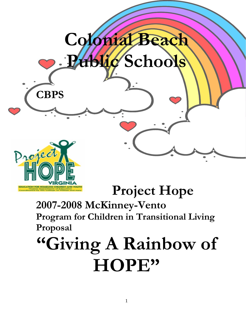

# **Project Hope**

**2007-2008 McKinney-Vento Program for Children in Transitional Living Proposal** 

# **"Giving A Rainbow of HOPE"**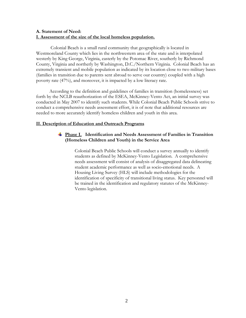# **A. Statement of Need: I. Assessment of the size of the local homeless population.**

Colonial Beach is a small rural community that geographically is located in Westmoreland County which lies in the northwestern area of the state and is interpolated westerly by King George, Virginia, easterly by the Potomac River, southerly by Richmond County, Virginia and northerly by Washington, D.C./Northern Virginia. Colonial Beach has an extremely transient and mobile population as indicated by its location close to two military bases (families in transition due to parents sent abroad to serve our country) coupled with a high poverty rate (47%), and moreover, it is impacted by a low literacy rate.

 According to the definition and guidelines of families in transition (homelessness) set forth by the NCLB reauthorization of the ESEA, McKinney-Vento Act, an initial survey was conducted in May 2007 to identify such students. While Colonial Beach Public Schools strive to conduct a comprehensive needs assessment effort, it is of note that additional resources are needed to more accurately identify homeless children and youth in this area.

### **II. Description of Education and Outreach Programs**

# **Phase I. Identification and Needs Assessment of Families in Transition (Homeless Children and Youth) in the Service Area**

Colonial Beach Public Schools will conduct a survey annually to identify students as defined by McKinney-Vento Legislation. A comprehensive needs assessment will consist of analysis of disaggregated data delineating student academic performance as well as socio-emotional needs. A Housing Living Survey (HLS) will include methodologies for the identification of specificity of transitional living status. Key personnel will be trained in the identification and regulatory statutes of the McKinney-Vento legislation.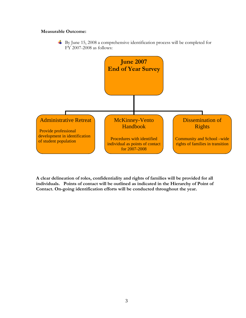# **Measurable Outcome:**

By June 15, 2008 a comprehensive identification process will be completed for FY 2007-2008 as follows:



**A clear delineation of roles, confidentiality and rights of families will be provided for all individuals. Points of contact will be outlined as indicated in the Hierarchy of Point of Contact. On-going identification efforts will be conducted throughout the year.**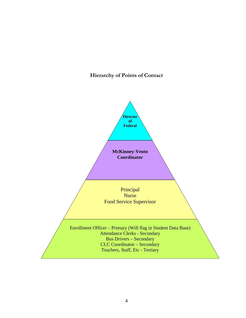# **Hierarchy of Points of Contact**

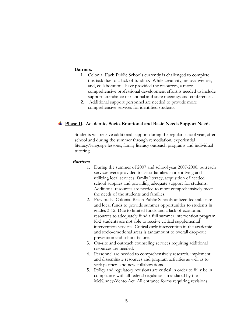#### **Barriers:**

- this task due to a lack of funding. While creativity, innovativeness, support attendance of national and state meetings and conferences. **1.** Colonial Each Public Schools currently is challenged to complete and, collaboration have provided the resources, a more comprehensive professional development effort is needed to include
- comprehensive services for identified students. **2.** Additional support personnel are needed to provide more

### **Phase II. Academic, Socio-Emotional and Basic Needs Support Needs**

Students will receive additional support during the regular school year, after literacy/language lessons, family literacy outreach programs and individual school and during the summer through remediation, experiential tutoring.

#### **Barriers:**

- 1. During the summer of 2007 and school year 2007-2008, outreach services were provided to assist families in identifying and utilizing local services, family literacy, acquisition of needed school supplies and providing adequate support for students. Additional resources are needed to more comprehensively meet the needs of the students and families.
- and local funds to provide summer opportunities to students in resources to adequately fund a full summer intervention program, intervention services. Critical early intervention in the academic and socio-emotional areas is tantamount to overall drop-out 2. Previously, Colonial Beach Public Schools utilized federal, state grades 3-12. Due to limited funds and a lack of economic K-2 students are not able to receive critical supplemental prevention and school failure.
- 3. On-site and outreach counseling services requiring additional resources are needed.
- and disseminate resources and program activities as well as to 4. Personnel are needed to comprehensively research, implement seek partners and new collaborations.
- 5. Policy and regulatory revisions are critical in order to fully be in McKinney-Vento Act. All entrance forms requiring revisions compliance with all federal regulations mandated by the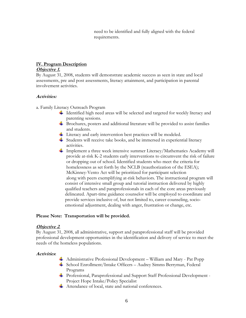need to be identified and fully aligned with the federal requirements.

# **IV. Program Description**

# **Objective 1.**

By August 31, 2008, students will demonstrate academic success as seen in state and local assessments, pre and post assessments, literacy attainment, and participation in parental involvement activities.

# **Activities:**

a. Fami ly Literacy Outreach Program

- Identified high need areas will be selected and targeted for weekly literacy and parenting sessions.
- $\overline{\phantom{a}}$  Brochures, posters and additional literature will be provided to assist families and students.
- Literacy and early intervention best practices will be modeled.
- $\frac{1}{\sqrt{2}}$  Students will receive take books, and be immersed in experiential literacy activities.
- Implement a three week intensive summer Literacy/Mathematics Academy will provide at-risk K-2 students early interventions to circumvent the risk of failure or dropping out of school. Identified students who meet the crite ria for along with peers exemplifying at-risk behaviors. The instructional program will qualified teachers and paraprofessionals in each of the core areas previously delineated. Apart-time guidance counselor will be employed to coordinate and provide services inclusive of, but not limited to, career counseling, socioemotional adjustment, dealing with anger, frustration or change, etc. homelessness as set forth by the NCLB (reauthorization of the ESEA); McKinney-Vento Act will be prioritized for participant selection consist of intensive small group and tutorial instruction delivered by highly

# **Transportation will be provided. Please Note:**

# **Objective 2**.

By August 31, 2008, all administrative, support and paraprofessional staff will be provided professional development opportunities in the identification and delivery of service to meet the needs of the homeless populations.

# **Activities** :

- Administrative Professional Development William and Mary Pat Popp
- School Enrollment/Intake Officers Audrey Simms Berryman, Federal Programs
- Professional, Paraprofessional and Support Staff Professional Development Project Hope Intake/Policy Specialist
- Attendance of local, state and national conferences.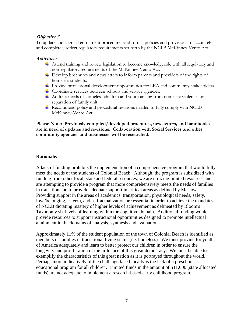# **Objective 3.**

To update and align all enrollment procedures and forms, policies and provisions to accurately and completely reflect regulatory requirements set forth by the NCLB McKinney-Vento Act.

# **Activities:**

- Attend training and review legislation to become knowledgeable with all regulatory an d non-regulatory requirements of the McKinney-Vento Act.
- Develop brochures and newsletters to inform parents and providers of the rights of homeless students.
- Provide professional development opportunities for LEA and community stakeholders.
- Coordinate services between schools and service agencies.
- Address needs of homeless children and youth arising from domestic violence, or separation of family unit.
- Recommend policy and procedural revisions needed to fully comply with NCLB McKinney-Vento Act.

Please Note: Previously compiled/developed brochures, newsletters, and handbooks are in need of updates and revisions. Collaboration with Social Services and other **ommunity agencies and businesses will be researched. c**

# **Rationale:**

A lack of funding prohibits the implementation of a comprehensive program that would fully funding from other local, state and federal resources, we are utilizing limited resources and are attempting to provide a program that more comprehensively meets the needs of families Providing support in the areas of academics, transportation, physiological needs, safety, love/belonging, esteem, and self-actualization are essential in order to achieve the mandates Taxonomy six levels of learning within the cognitive domain. Additional funding would provide resources to support instructional opportunities designed to promote intellectual meet the needs of the students of Colonial Beach. Although, the program is subsidized with in transition and to provide adequate support in critical areas as defined by Maslow. of NCLB dictating mastery of higher levels of achievement as delineated by Bloom's attainment in the domains of analysis, synthesis and evaluation.

Approximately 11% of the student population of the town of Colonial Beach is identified as members of families in transitional living status (i.e. homeless). We must provide for youth longevity and proliferation of the influence of this great democracy. We must be able to educational program for all children. Limited funds in the amount of \$11,000 (state allocated funds) are not adequate to implement a research-based early childhood program. of America adequately and learn to better protect our children in order to ensure the exemplify the characteristics of this great nation as it is portrayed throughout the world. Perhaps more indicatively of the challenge faced locally is the lack of a preschool